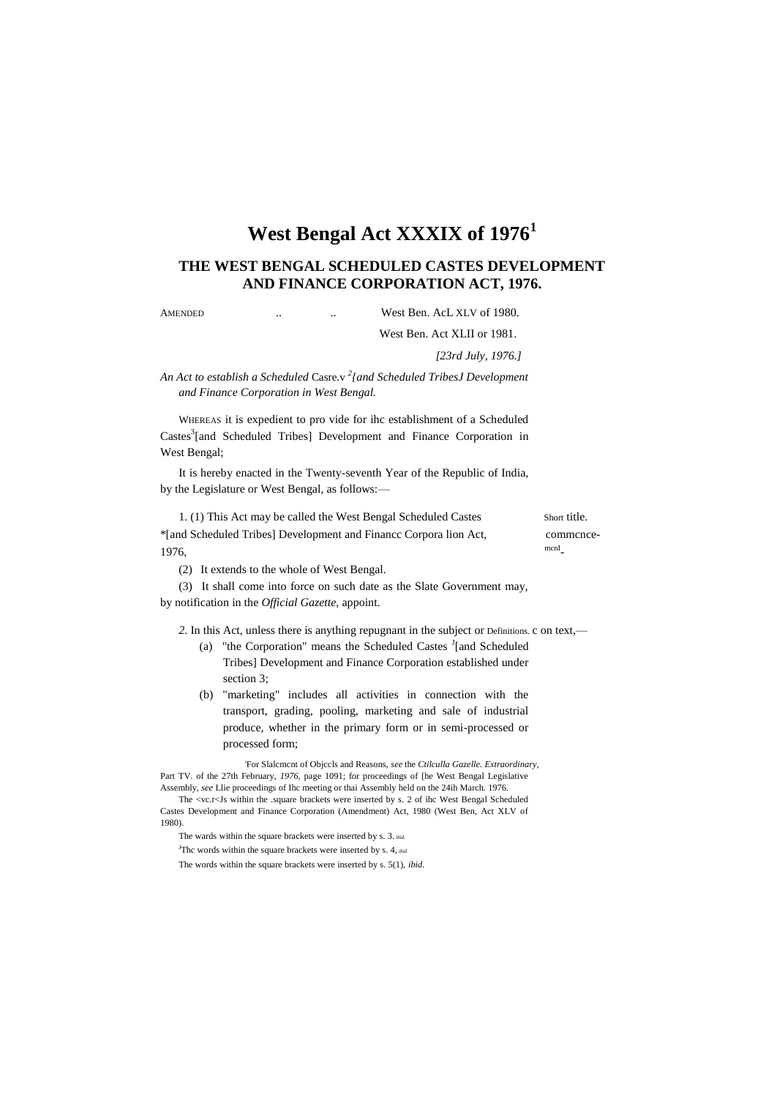# **West Bengal Act XXXIX of 1976<sup>1</sup>**

# **THE WEST BENGAL SCHEDULED CASTES DEVELOPMENT AND FINANCE CORPORATION ACT, 1976.**

AMENDED ... West Ben. AcL XLV of 1980.

West Ben. Act XLII or 1981.

*[23rd July, 1976.]*

*An Act to establish a Scheduled* Casre.v *<sup>2</sup> {and Scheduled TribesJ Development and Finance Corporation in West Bengal.*

WHEREAS it is expedient to pro vide for ihc establishment of a Scheduled Castes<sup>3</sup>[and Scheduled Tribes] Development and Finance Corporation in West Bengal;

It is hereby enacted in the Twenty-seventh Year of the Republic of India, by the Legislature or West Bengal, as follows:—

1. (1) This Act may be called the West Bengal Scheduled Castes Short title. \*[and Scheduled Tribes] Development and Financc Corpora lion Act, commcnce- $1976,$ mcnI

(2) It extends to the whole of West Bengal.

(3) It shall come into force on such date as the Slate Government may, by notification in the *Official Gazette,* appoint.

*2.* In this Act, unless there is anything repugnant in the subject or Definitions. c on text,—

- (a) "the Corporation" means the Scheduled Castes  $I$ [and Scheduled Tribes] Development and Finance Corporation established under section 3;
- (b) "marketing" includes all activities in connection with the transport, grading, pooling, marketing and sale of industrial produce, whether in the primary form or in semi-processed or processed form;

'For Slalcmcnt of Objccls and Reasons, *see* the *Ctilculla Gazelle. Extraordinary,* Part TV. of the 27th February, *1976,* page 1091; for proceedings of [he West Bengal Legislative Assembly, *see* Llie proceedings of Ihc meeting or thai Assembly held on the 24ih March. 1976.

The wards within the square brackets were inserted by s. 3. *ibid.*

<sup>J</sup>Thc words within the square brackets were inserted by s. 4, *ibid*.

The words within the square brackets were inserted by s. 5(1), *ibid.*

The <vc.r<Js within the .square brackets were inserted by s. 2 of ihc West Bengal Scheduled Castes Development and Finance Corporation (Amendment) Act, 1980 (West Ben, Act XLV of 1980).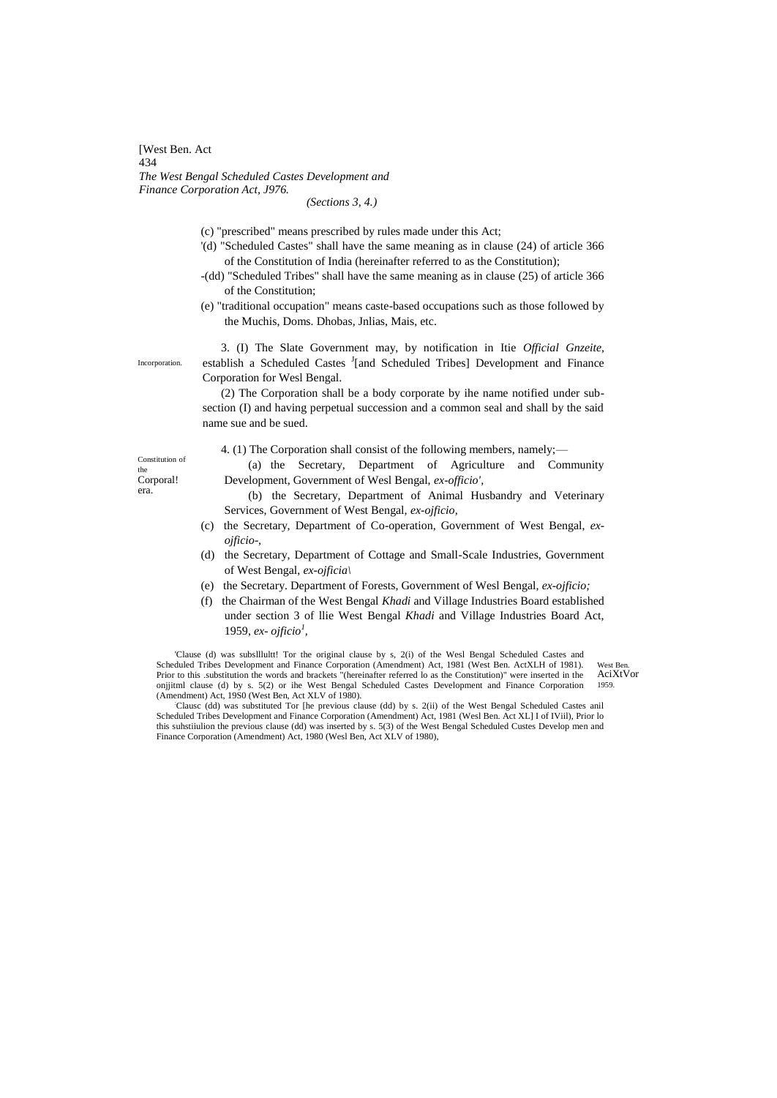[West Ben. Act 434 *The West Bengal Scheduled Castes Development and Finance Corporation Act, J976.*

*(Sections 3, 4.)*

- (c) "prescribed" means prescribed by rules made under this Act;
- '(d) "Scheduled Castes" shall have the same meaning as in clause (24) of article 366 of the Constitution of India (hereinafter referred to as the Constitution);
- -(dd) "Scheduled Tribes" shall have the same meaning as in clause (25) of article 366 of the Constitution;
- (e) "traditional occupation" means caste-based occupations such as those followed by the Muchis, Doms. Dhobas, Jnlias, Mais, etc.

3. (I) The Slate Government may, by notification in Itie *Official Gnzeite,* establish a Scheduled Castes <sup>J</sup>[and Scheduled Tribes] Development and Finance Corporation for Wesl Bengal.

(2) The Corporation shall be a body corporate by ihe name notified under subsection (I) and having perpetual succession and a common seal and shall by the said name sue and be sued.

4. (1) The Corporation shall consist of the following members, namely;—

(a) the Secretary, Department of Agriculture and Community Development, Government of Wesl Bengal, *ex-officio',*

(b) the Secretary, Department of Animal Husbandry and Veterinary Services, Government of West Bengal, *ex-ojficio,*

- (c) the Secretary, Department of Co-operation, Government of West Bengal, *exojficio-,*
- (d) the Secretary, Department of Cottage and Small-Scale Industries, Government of West Bengal, *ex-ojficia\*
- (e) the Secretary. Department of Forests, Government of Wesl Bengal, *ex-ojficio;*
- (f) the Chairman of the West Bengal *Khadi* and Village Industries Board established under section 3 of llie West Bengal *Khadi* and Village Industries Board Act, 1959, *ex- ojficio<sup>1</sup> ,*

West Ben. AciXtVor 1959. 'Clause (d) was subslllultt! Tor the original clause by s, 2(i) of the Wesl Bengal Scheduled Castes and Scheduled Tribes Development and Finance Corporation (Amendment) Act, 1981 (West Ben. ActXLH of 1981). Prior to this .substitution the words and brackets "(hereinafter referred lo as the Constitution)" were inserted in the onjjitml clause (d) by s. 5(2) or ihe West Bengal Scheduled Castes Development and Finance Corporation (Amendment) Act, 19S0 (West Ben, Act XLV of 1980).

:Clausc (dd) was substituted Tor [he previous clause (dd) by s. 2(ii) of the West Bengal Scheduled Castes anil Scheduled Tribes Development and Finance Corporation (Amendment) Act, 1981 (Wesl Ben. Act XL] I of IViil), Prior lo this suhstiiulion the previous clause (dd) was inserted by s. 5(3) of the West Bengal Scheduled Custes Develop men and Finance Corporation (Amendment) Act, 1980 (Wesl Ben, Act XLV of 1980),

Constitution of the Corporal!

era.

Incorporation.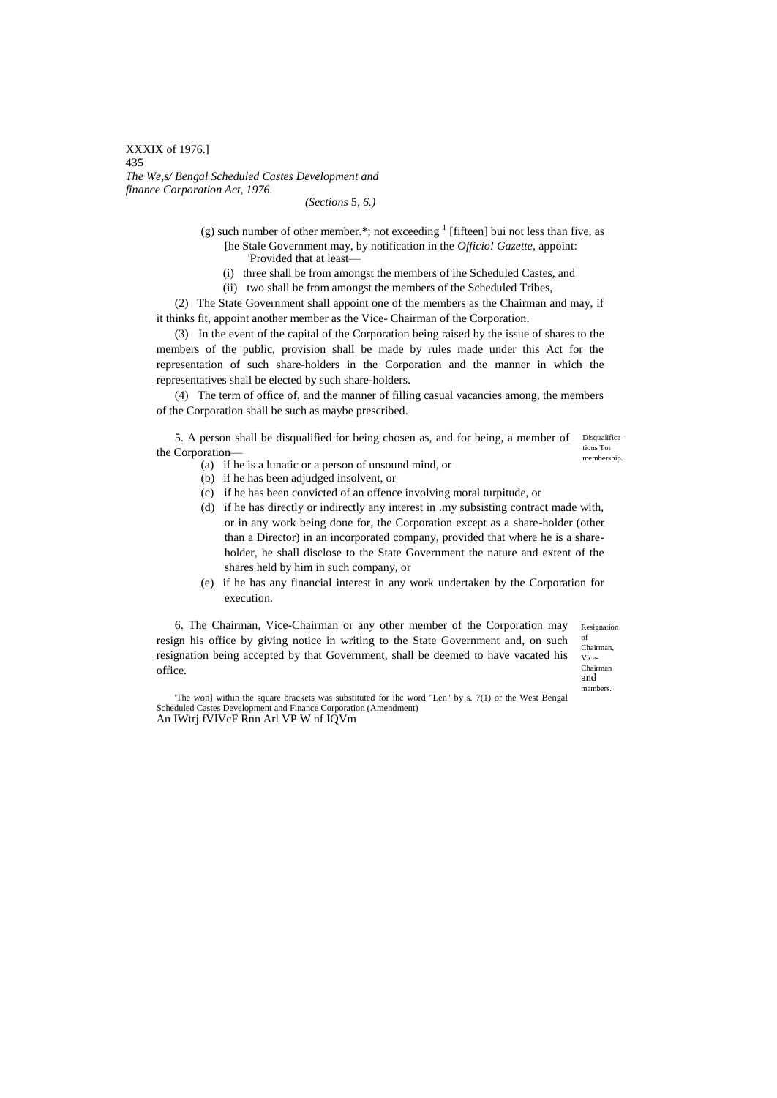### XXXIX of 1976.] 435 *The We,s/ Bengal Scheduled Castes Development and finance Corporation Act, 1976.*

#### *(Sections* 5, *6.)*

(g) such number of other member.\*; not exceeding  $<sup>1</sup>$  [fifteen] bui not less than five, as</sup> [he Stale Government may, by notification in the *Officio! Gazette,* appoint:

'Provided that at least—

- (i) three shall be from amongst the members of ihe Scheduled Castes, and
- (ii) two shall be from amongst the members of the Scheduled Tribes,

(2) The State Government shall appoint one of the members as the Chairman and may, if it thinks fit, appoint another member as the Vice- Chairman of the Corporation.

(3) In the event of the capital of the Corporation being raised by the issue of shares to the members of the public, provision shall be made by rules made under this Act for the representation of such share-holders in the Corporation and the manner in which the representatives shall be elected by such share-holders.

(4) The term of office of, and the manner of filling casual vacancies among, the members of the Corporation shall be such as maybe prescribed.

5. A person shall be disqualified for being chosen as, and for being, a member of Disqualificathe Corporation—

tions Tor membership.

- (a) if he is a lunatic or a person of unsound mind, or
- (b) if he has been adjudged insolvent, or
- (c) if he has been convicted of an offence involving moral turpitude, or
- (d) if he has directly or indirectly any interest in .my subsisting contract made with, or in any work being done for, the Corporation except as a share-holder (other than a Director) in an incorporated company, provided that where he is a shareholder, he shall disclose to the State Government the nature and extent of the shares held by him in such company, or
- (e) if he has any financial interest in any work undertaken by the Corporation for execution.

Resignation of 6. The Chairman, Vice-Chairman or any other member of the Corporation may resign his office by giving notice in writing to the State Government and, on such resignation being accepted by that Government, shall be deemed to have vacated his office.

Chairman, Vice-Chairman and members.

'The won] within the square brackets was substituted for ihc word "Len" by s. 7(1) or the West Bengal Scheduled Castes Development and Finance Corporation (Amendment) An IWtrj fVlVcF Rnn Arl VP W nf IQVm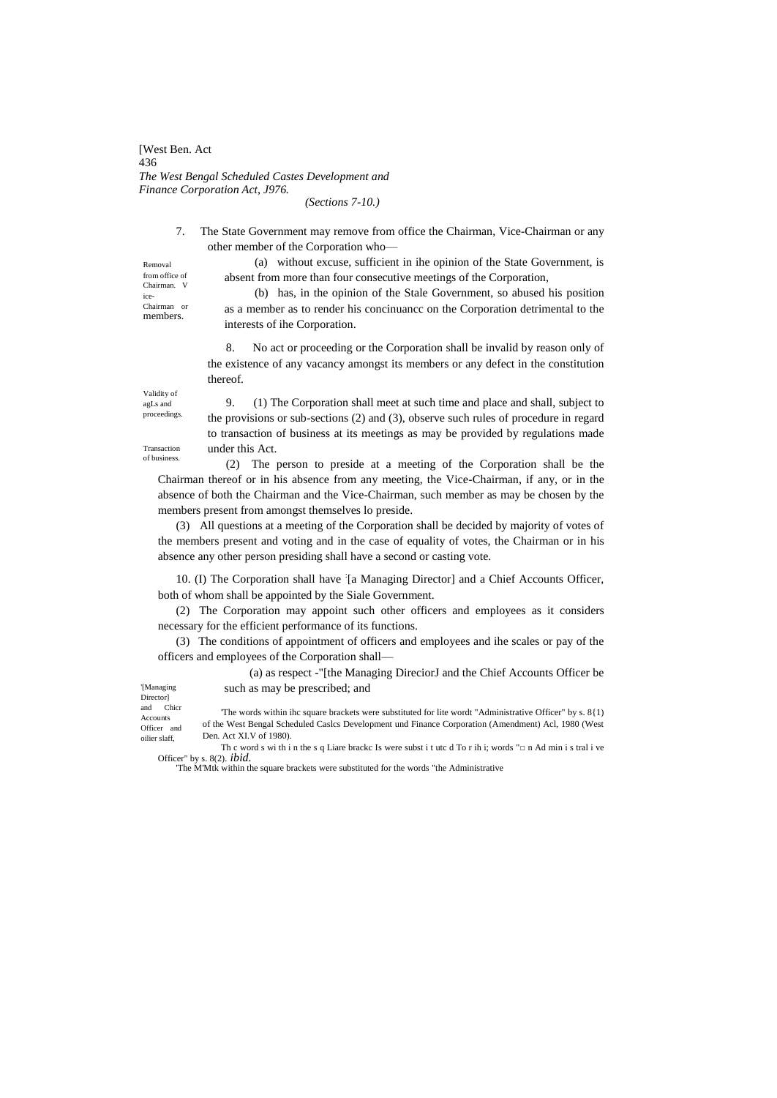[West Ben. Act 436 *The West Bengal Scheduled Castes Development and Finance Corporation Act, J976.*

*(Sections 7-10.)*

7. The State Government may remove from office the Chairman, Vice-Chairman or any other member of the Corporation who—

Removal from office of Chairman. ice-Chairman or members.

(a) without excuse, sufficient in ihe opinion of the State Government, is absent from more than four consecutive meetings of the Corporation,

(b) has, in the opinion of the Stale Government, so abused his position as a member as to render his concinuancc on the Corporation detrimental to the interests of ihe Corporation.

8. No act or proceeding or the Corporation shall be invalid by reason only of the existence of any vacancy amongst its members or any defect in the constitution thereof.

Validity of agLs and proceedings.

Transaction of business.

9. (1) The Corporation shall meet at such time and place and shall, subject to the provisions or sub-sections (2) and (3), observe such rules of procedure in regard to transaction of business at its meetings as may be provided by regulations made under this Act.

(2) The person to preside at a meeting of the Corporation shall be the Chairman thereof or in his absence from any meeting, the Vice-Chairman, if any, or in the absence of both the Chairman and the Vice-Chairman, such member as may be chosen by the members present from amongst themselves lo preside.

(3) All questions at a meeting of the Corporation shall be decided by majority of votes of the members present and voting and in the case of equality of votes, the Chairman or in his absence any other person presiding shall have a second or casting vote.

10. (I) The Corporation shall have '[a Managing Director] and a Chief Accounts Officer, both of whom shall be appointed by the Siale Government.

(2) The Corporation may appoint such other officers and employees as it considers necessary for the efficient performance of its functions.

(3) The conditions of appointment of officers and employees and ihe scales or pay of the officers and employees of the Corporation shall—

> (a) as respect -"[the Managing DireciorJ and the Chief Accounts Officer be such as may be prescribed; and

'[Managing Director] and Chicr

Accounts Officer and oilier slaff, 'The words within ihc square brackets were substituted for lite wordt "Administrative Officer" by s. 8{1) of the West Bengal Scheduled Caslcs Development und Finance Corporation (Amendment) Acl, 1980 (West Den. Act XI.V of 1980).

Th c word s wi th i n the s q Liare brackc Is were subst i t utc d To r ih i; words "□ n Ad min i s tral i ve Officer" by s. 8(2). *ibid.*

'The M'Mtk within the square brackets were substituted for the words "the Administrative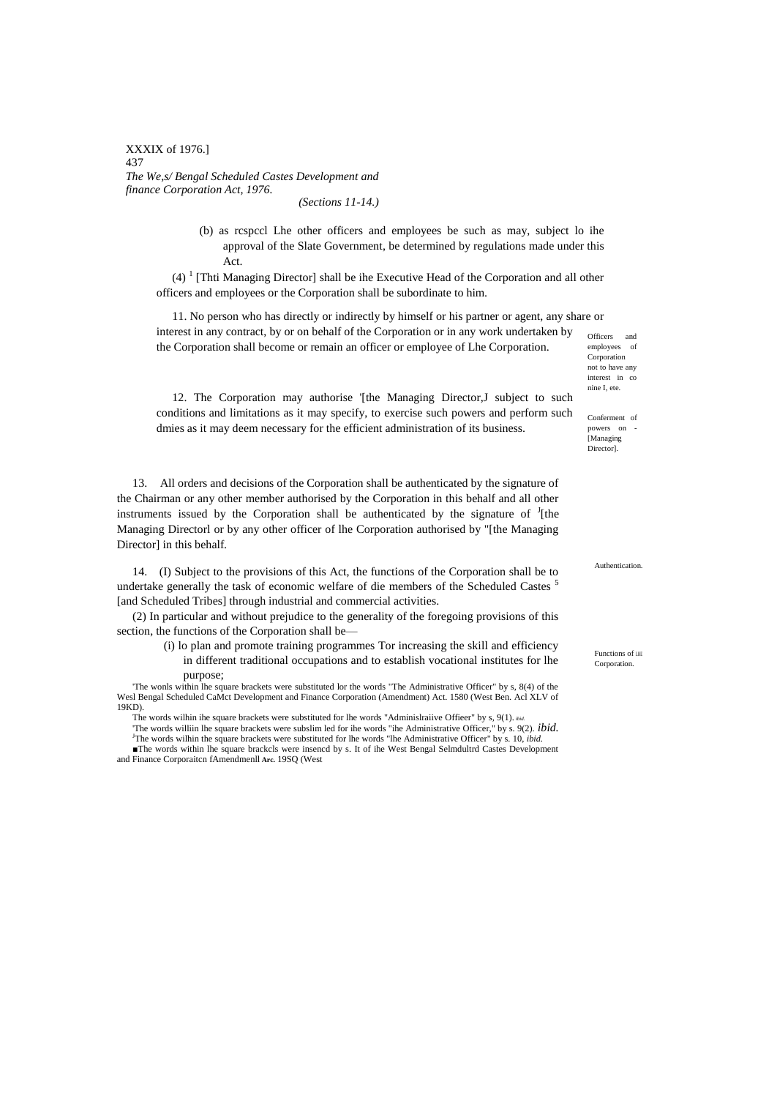XXXIX of 1976.] 437 *The We,s/ Bengal Scheduled Castes Development and finance Corporation Act, 1976.*

*(Sections 11-14.)*

(b) as rcspccl Lhe other officers and employees be such as may, subject lo ihe approval of the Slate Government, be determined by regulations made under this Act.

 $(4)$ <sup>1</sup> [Thti Managing Director] shall be ihe Executive Head of the Corporation and all other officers and employees or the Corporation shall be subordinate to him.

11. No person who has directly or indirectly by himself or his partner or agent, any share or interest in any contract, by or on behalf of the Corporation or in any work undertaken by the Corporation shall become or remain an officer or employee of Lhe Corporation.

Officers and employees of Corporation not to have any interest in co nine I, ete.

Conferment of powers on [Managing Director].

12. The Corporation may authorise '[the Managing Director,J subject to such conditions and limitations as it may specify, to exercise such powers and perform such dmies as it may deem necessary for the efficient administration of its business.

13. All orders and decisions of the Corporation shall be authenticated by the signature of the Chairman or any other member authorised by the Corporation in this behalf and all other instruments issued by the Corporation shall be authenticated by the signature of  $\frac{1}{2}$ [the Managing Directorl or by any other officer of lhe Corporation authorised by "[the Managing Director] in this behalf.

14. (I) Subject to the provisions of this Act, the functions of the Corporation shall be to undertake generally the task of economic welfare of die members of the Scheduled Castes <sup>5</sup> [and Scheduled Tribes] through industrial and commercial activities.

(2) In particular and without prejudice to the generality of the foregoing provisions of this section, the functions of the Corporation shall be—

> (i) lo plan and promote training programmes Tor increasing the skill and efficiency in different traditional occupations and to establish vocational institutes for lhe purpose;

'The wonls within lhe square brackets were substituted lor the words "The Administrative Officer" by s, 8(4) of the Wesl Bengal Scheduled CaMct Development and Finance Corporation (Amendment) Act. 1580 (West Ben. Acl XLV of 19KD).

The words wilhin ihe square brackets were substituted for lhe words "Adminislraiive Offieer" by s, 9(1). *ibid.*

'The words williin lhe square brackets were subslim led for ihe words "ihe Administrative Officer," by s. 9(2). *ibid.* <sup>J</sup>The words wilhin the square brackets were substituted for lhe words "lhe Administrative Officer" by s. 10, *ibid.* 

■The words within lhe square brackcls were insencd by s. It of ihe West Bengal Selmdultrd Castes Development and Finance Corporaitcn fAmendmenll **Arc.** 19SQ (West

Authentication.

Functions of LHE Corporation.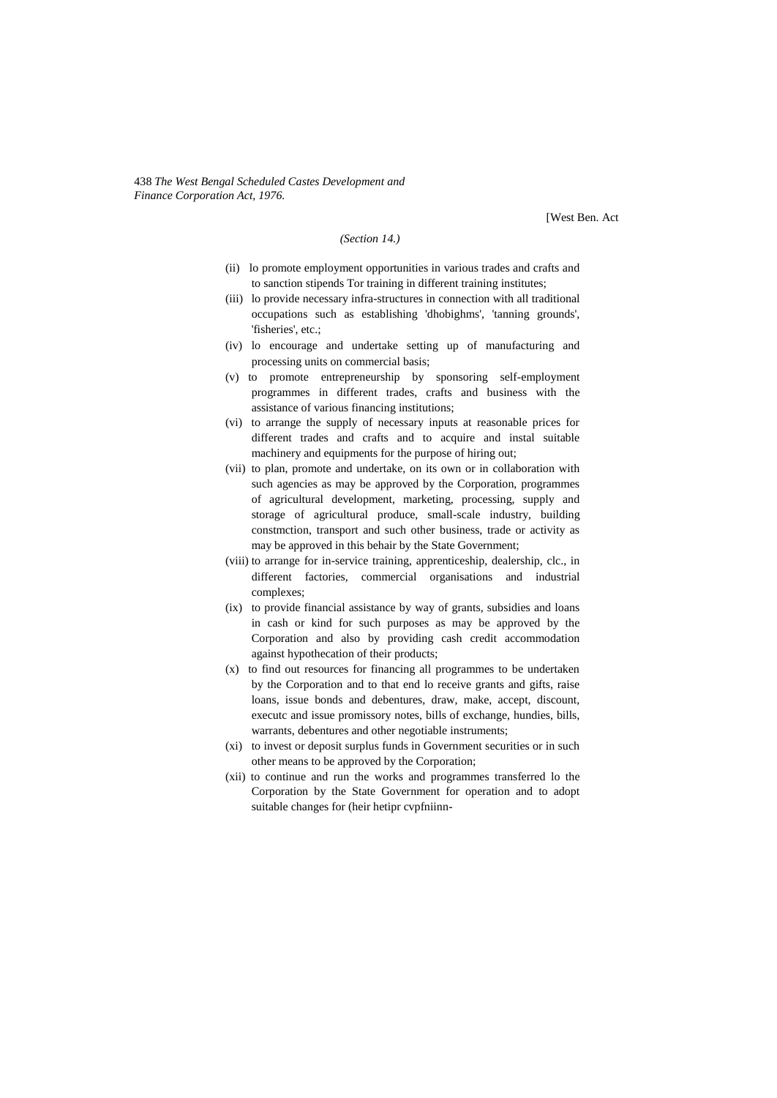438 *The West Bengal Scheduled Castes Development and Finance Corporation Act, 1976.*

[West Ben. Act

## *(Section 14.)*

- (ii) lo promote employment opportunities in various trades and crafts and to sanction stipends Tor training in different training institutes;
- (iii) lo provide necessary infra-structures in connection with all traditional occupations such as establishing 'dhobighms', 'tanning grounds', 'fisheries', etc.;
- (iv) lo encourage and undertake setting up of manufacturing and processing units on commercial basis;
- (v) to promote entrepreneurship by sponsoring self-employment programmes in different trades, crafts and business with the assistance of various financing institutions;
- (vi) to arrange the supply of necessary inputs at reasonable prices for different trades and crafts and to acquire and instal suitable machinery and equipments for the purpose of hiring out;
- (vii) to plan, promote and undertake, on its own or in collaboration with such agencies as may be approved by the Corporation, programmes of agricultural development, marketing, processing, supply and storage of agricultural produce, small-scale industry, building constmction, transport and such other business, trade or activity as may be approved in this behair by the State Government;
- (viii) to arrange for in-service training, apprenticeship, dealership, clc., in different factories, commercial organisations and industrial complexes;
- (ix) to provide financial assistance by way of grants, subsidies and loans in cash or kind for such purposes as may be approved by the Corporation and also by providing cash credit accommodation against hypothecation of their products;
- (x) to find out resources for financing all programmes to be undertaken by the Corporation and to that end lo receive grants and gifts, raise loans, issue bonds and debentures, draw, make, accept, discount, executc and issue promissory notes, bills of exchange, hundies, bills, warrants, debentures and other negotiable instruments;
- (xi) to invest or deposit surplus funds in Government securities or in such other means to be approved by the Corporation;
- (xii) to continue and run the works and programmes transferred lo the Corporation by the State Government for operation and to adopt suitable changes for (heir hetipr cvpfniinn-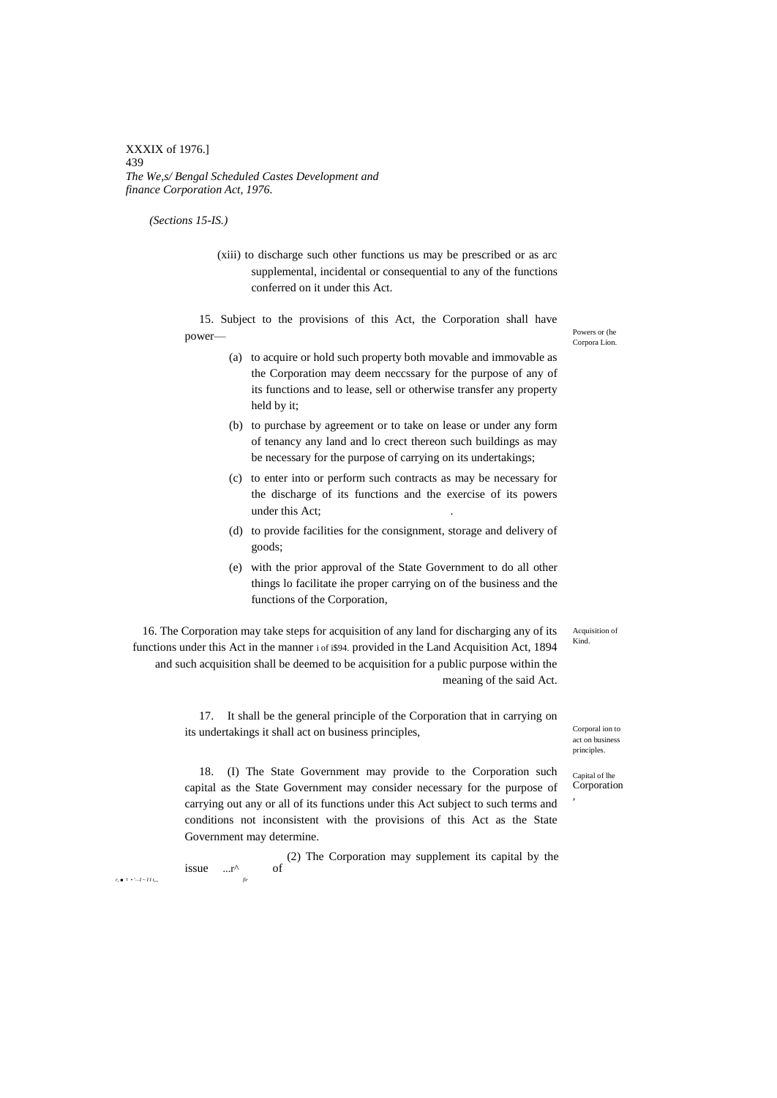XXXIX of 1976.] 439 *The We,s/ Bengal Scheduled Castes Development and finance Corporation Act, 1976.*

*(Sections 15-IS.)*

(xiii) to discharge such other functions us may be prescribed or as arc supplemental, incidental or consequential to any of the functions conferred on it under this Act.

15. Subject to the provisions of this Act, the Corporation shall have power—

- (a) to acquire or hold such property both movable and immovable as the Corporation may deem neccssary for the purpose of any of its functions and to lease, sell or otherwise transfer any property held by it;
- (b) to purchase by agreement or to take on lease or under any form of tenancy any land and lo crect thereon such buildings as may be necessary for the purpose of carrying on its undertakings;
- (c) to enter into or perform such contracts as may be necessary for the discharge of its functions and the exercise of its powers under this Act;
- (d) to provide facilities for the consignment, storage and delivery of goods;
- (e) with the prior approval of the State Government to do all other things lo facilitate ihe proper carrying on of the business and the functions of the Corporation,

16. The Corporation may take steps for acquisition of any land for discharging any of its functions under this Act in the manner i of i\$94. provided in the Land Acquisition Act, 1894 and such acquisition shall be deemed to be acquisition for a public purpose within the meaning of the said Act.

> 17. It shall be the general principle of the Corporation that in carrying on its undertakings it shall act on business principles,

Corporal ion to  $\arctan$  busin principles.

Acquisition of Kind.

Capital of lhe Corporation ,

18. (I) The State Government may provide to the Corporation such capital as the State Government may consider necessary for the purpose of carrying out any or all of its functions under this Act subject to such terms and conditions not inconsistent with the provisions of this Act as the State Government may determine.

issue  $\ldots$ r<sup> $\wedge$ </sup> of (2) The Corporation may supplement its capital by the *r, ■* T *• '—I ~ I I t,,, fir*

Powers or (he Corpora Lion.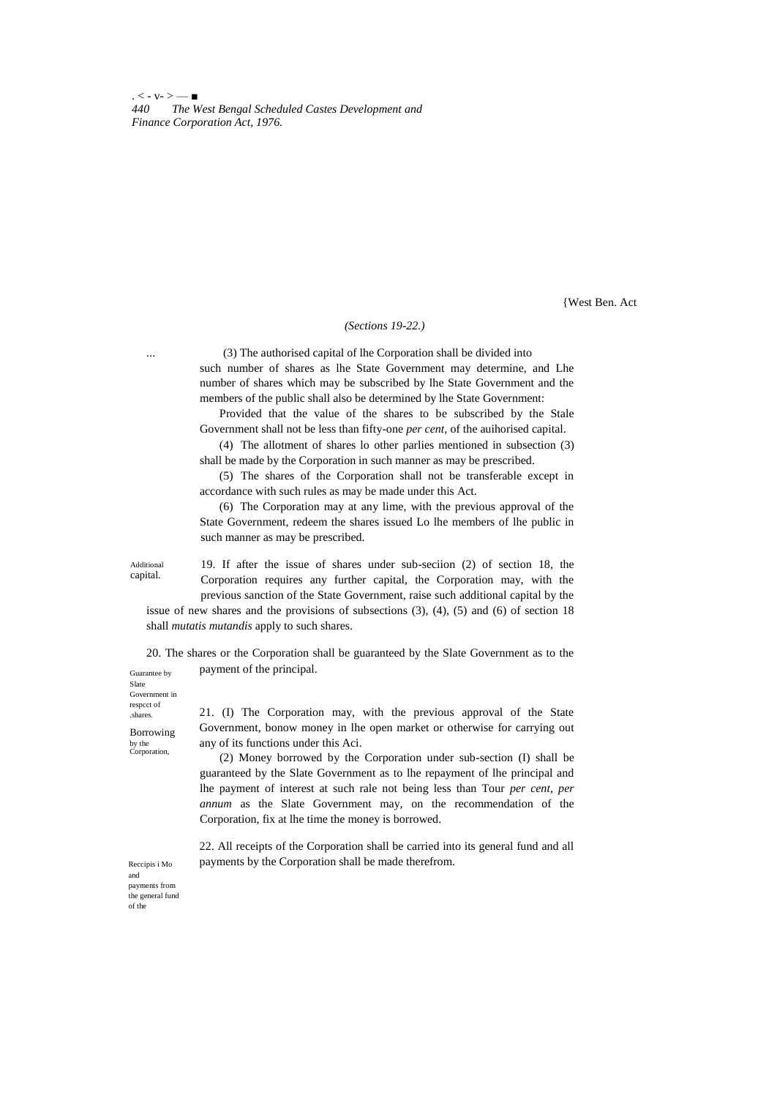$. < -V - > -$ *440 The West Bengal Scheduled Castes Development and Finance Corporation Act, 1976.*

{West Ben. Act

### *(Sections 19-22.)*

... (3) The authorised capital of lhe Corporation shall be divided into such number of shares as lhe State Government may determine, and Lhe number of shares which may be subscribed by lhe State Government and the members of the public shall also be determined by lhe State Government:

Provided that the value of the shares to be subscribed by the Stale Government shall not be less than fifty-one *per cent,* of the auihorised capital.

(4) The allotment of shares lo other parlies mentioned in subsection (3) shall be made by the Corporation in such manner as may be prescribed.

(5) The shares of the Corporation shall not be transferable except in accordance with such rules as may be made under this Act.

(6) The Corporation may at any lime, with the previous approval of the State Government, redeem the shares issued Lo lhe members of lhe public in such manner as may be prescribed.

Additional capital.

19. If after the issue of shares under sub-seciion (2) of section 18, the Corporation requires any further capital, the Corporation may, with the previous sanction of the State Government, raise such additional capital by the

issue of new shares and the provisions of subsections (3), (4), (5) and (6) of section 18 shall *mutatis mutandis* apply to such shares.

Guarantee by 20. The shares or the Corporation shall be guaranteed by the Slate Government as to the payment of the principal.

Slate Government in respcct of .shares.

Borrowing by the Corporation,

21. (I) The Corporation may, with the previous approval of the State Government, bonow money in lhe open market or otherwise for carrying out any of its functions under this Aci.

(2) Money borrowed by the Corporation under sub-section (I) shall be guaranteed by the Slate Government as to lhe repayment of lhe principal and lhe payment of interest at such rale not being less than Tour *per cent, per annum* as the Slate Government may, on the recommendation of the Corporation, fix at lhe time the money is borrowed.

22. All receipts of the Corporation shall be carried into its general fund and all payments by the Corporation shall be made therefrom.

Reccipis i Mo and payments from the general fund of the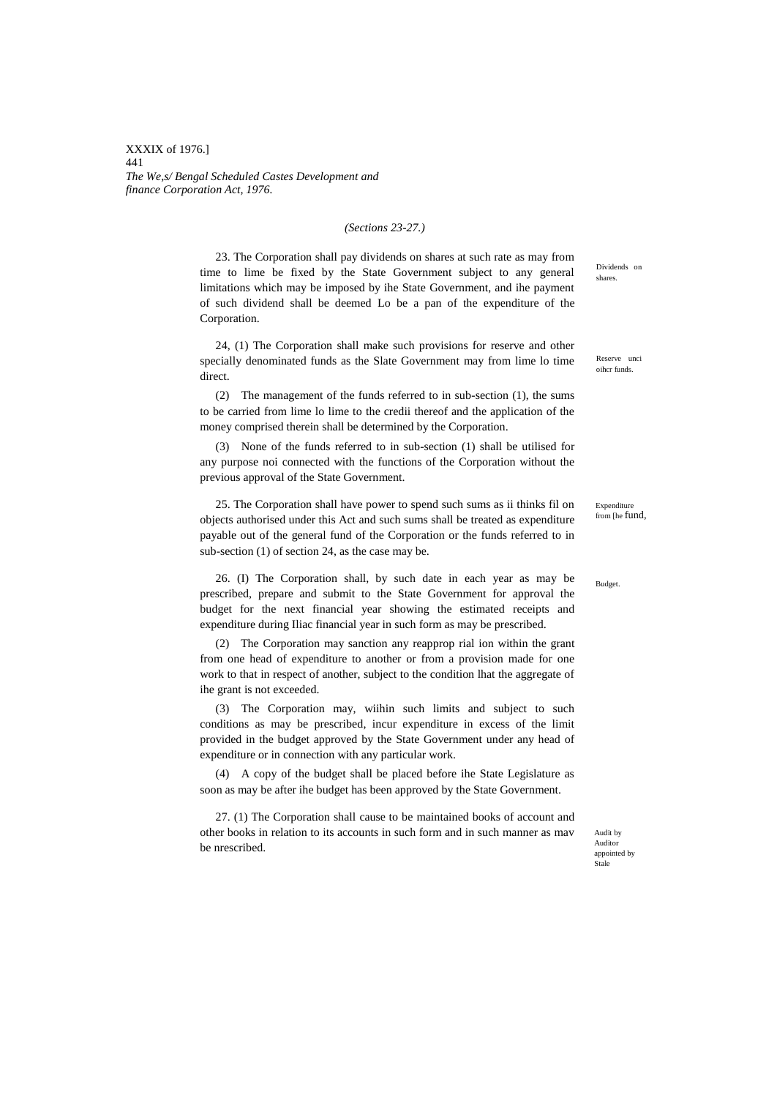XXXIX of 1976.] 441 *The We,s/ Bengal Scheduled Castes Development and finance Corporation Act, 1976.*

#### *(Sections 23-27.)*

23. The Corporation shall pay dividends on shares at such rate as may from time to lime be fixed by the State Government subject to any general limitations which may be imposed by ihe State Government, and ihe payment of such dividend shall be deemed Lo be a pan of the expenditure of the Corporation.

24, (1) The Corporation shall make such provisions for reserve and other specially denominated funds as the Slate Government may from lime lo time direct.

(2) The management of the funds referred to in sub-section (1), the sums to be carried from lime lo lime to the credii thereof and the application of the money comprised therein shall be determined by the Corporation.

(3) None of the funds referred to in sub-section (1) shall be utilised for any purpose noi connected with the functions of the Corporation without the previous approval of the State Government.

25. The Corporation shall have power to spend such sums as ii thinks fil on objects authorised under this Act and such sums shall be treated as expenditure payable out of the general fund of the Corporation or the funds referred to in sub-section (1) of section 24, as the case may be.

26. (I) The Corporation shall, by such date in each year as may be prescribed, prepare and submit to the State Government for approval the budget for the next financial year showing the estimated receipts and expenditure during Iliac financial year in such form as may be prescribed.

(2) The Corporation may sanction any reapprop rial ion within the grant from one head of expenditure to another or from a provision made for one work to that in respect of another, subject to the condition lhat the aggregate of ihe grant is not exceeded.

(3) The Corporation may, wiihin such limits and subject to such conditions as may be prescribed, incur expenditure in excess of the limit provided in the budget approved by the State Government under any head of expenditure or in connection with any particular work.

(4) A copy of the budget shall be placed before ihe State Legislature as soon as may be after ihe budget has been approved by the State Government.

27. (1) The Corporation shall cause to be maintained books of account and other books in relation to its accounts in such form and in such manner as mav be nrescribed.

Dividends on shares.

Reserve unci oihcr funds.

Expenditure from [he fund,

Budget.

Audit by Auditor appointed by Stale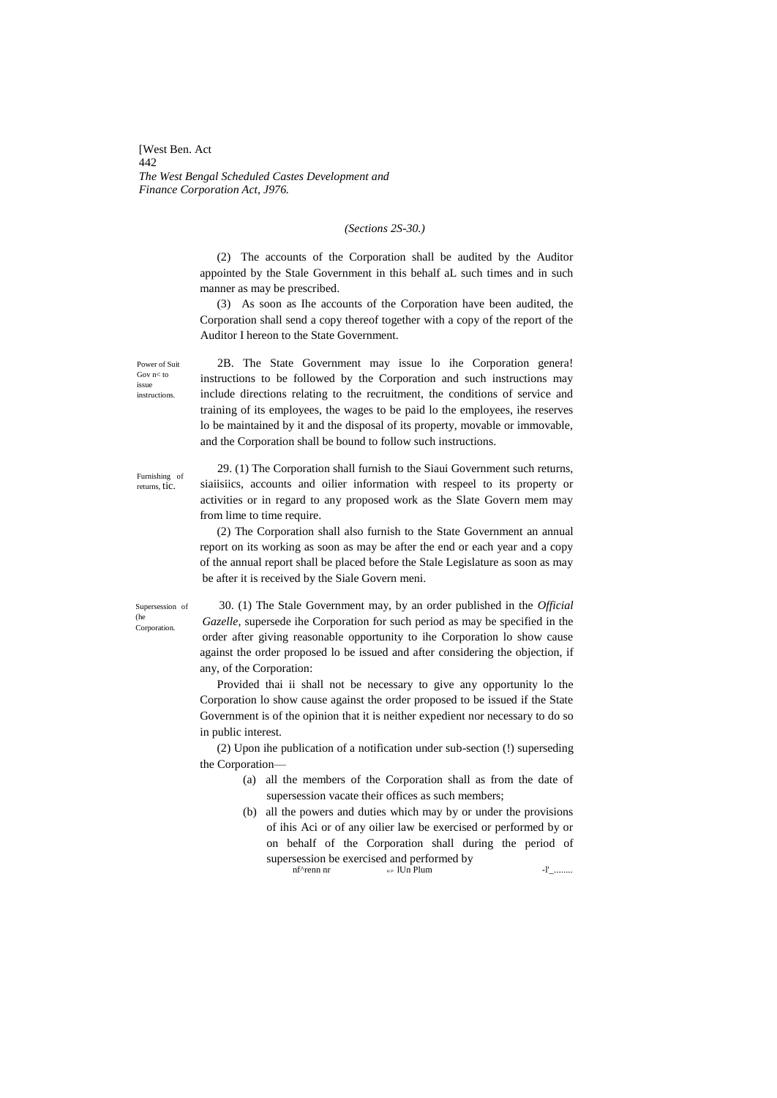[West Ben. Act 442 *The West Bengal Scheduled Castes Development and Finance Corporation Act, J976.*

### *(Sections 2S-30.)*

(2) The accounts of the Corporation shall be audited by the Auditor appointed by the Stale Government in this behalf aL such times and in such manner as may be prescribed.

(3) As soon as Ihe accounts of the Corporation have been audited, the Corporation shall send a copy thereof together with a copy of the report of the Auditor I hereon to the State Government.

Power of Suit Gov n< to issue instructions.

2B. The State Government may issue lo ihe Corporation genera! instructions to be followed by the Corporation and such instructions may include directions relating to the recruitment, the conditions of service and training of its employees, the wages to be paid lo the employees, ihe reserves lo be maintained by it and the disposal of its property, movable or immovable, and the Corporation shall be bound to follow such instructions.

Furnishing of returns, tic.

29. (1) The Corporation shall furnish to the Siaui Government such returns, siaiisiics, accounts and oilier information with respeel to its property or activities or in regard to any proposed work as the Slate Govern mem may from lime to time require.

(2) The Corporation shall also furnish to the State Government an annual report on its working as soon as may be after the end or each year and a copy of the annual report shall be placed before the Stale Legislature as soon as may be after it is received by the Siale Govern meni.

Supersession of (he Corporation.

30. (1) The Stale Government may, by an order published in the *Official Gazelle,* supersede ihe Corporation for such period as may be specified in the order after giving reasonable opportunity to ihe Corporation lo show cause against the order proposed lo be issued and after considering the objection, if any, of the Corporation:

Provided thai ii shall not be necessary to give any opportunity lo the Corporation lo show cause against the order proposed to be issued if the State Government is of the opinion that it is neither expedient nor necessary to do so in public interest.

(2) Upon ihe publication of a notification under sub-section (!) superseding the Corporation—

- (a) all the members of the Corporation shall as from the date of supersession vacate their offices as such members;
- (b) all the powers and duties which may by or under the provisions of ihis Aci or of any oilier law be exercised or performed by or on behalf of the Corporation shall during the period of supersession be exercised and performed by  $n^{\text{f}+ \text{r}}$  and  $n^{\text{f}+ \text{r}}$  and  $n^{\text{f}+ \text{r}}$

 $n \in \mathbb{N}$  Plum  $-1'$ \_........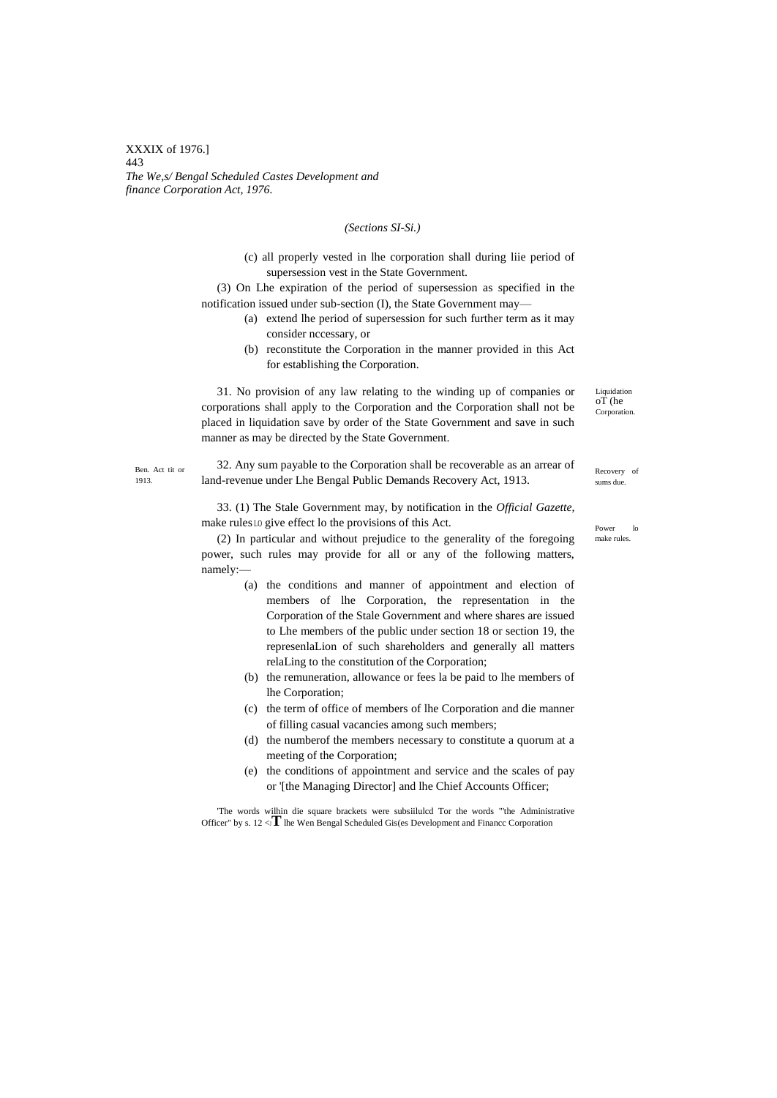XXXIX of 1976.] 443 *The We,s/ Bengal Scheduled Castes Development and finance Corporation Act, 1976.*

### *(Sections SI-Si.)*

(c) all properly vested in lhe corporation shall during liie period of supersession vest in the State Government.

(3) On Lhe expiration of the period of supersession as specified in the notification issued under sub-section (I), the State Government may—

- (a) extend lhe period of supersession for such further term as it may consider nccessary, or
- (b) reconstitute the Corporation in the manner provided in this Act for establishing the Corporation.

31. No provision of any law relating to the winding up of companies or corporations shall apply to the Corporation and the Corporation shall not be placed in liquidation save by order of the State Government and save in such manner as may be directed by the State Government.

Ben. Act tit or 1913.

32. Any sum payable to the Corporation shall be recoverable as an arrear of land-revenue under Lhe Bengal Public Demands Recovery Act, 1913.

33. (1) The Stale Government may, by notification in the *Official Gazette,* make rules LO give effect lo the provisions of this Act.

(2) In particular and without prejudice to the generality of the foregoing power, such rules may provide for all or any of the following matters, namely:—

- (a) the conditions and manner of appointment and election of members of lhe Corporation, the representation in the Corporation of the Stale Government and where shares are issued to Lhe members of the public under section 18 or section 19, the represenlaLion of such shareholders and generally all matters relaLing to the constitution of the Corporation;
- (b) the remuneration, allowance or fees la be paid to lhe members of lhe Corporation;
- (c) the term of office of members of lhe Corporation and die manner of filling casual vacancies among such members;
- (d) the numberof the members necessary to constitute a quorum at a meeting of the Corporation;
- (e) the conditions of appointment and service and the scales of pay or '[the Managing Director] and lhe Chief Accounts Officer;

'The words wilhin die square brackets were subsiilulcd Tor the words "'the Administrative Officer" by s.  $12 < \mathbf{T}$  lhe Wen Bengal Scheduled Gis(es Development and Financc Corporation

Liquidation oT (he Corporation.

Recovery of sums due.

Power lo make rules.